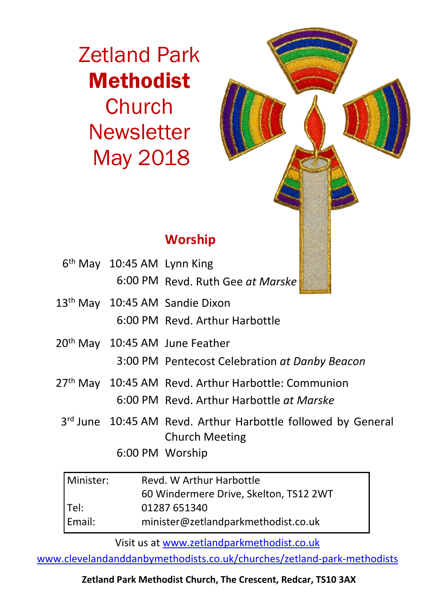Zetland Park Methodist **Church Newsletter** May 2018



# **Worship**

| 6 <sup>th</sup> May 10:45 AM Lynn King |                                                                                       |
|----------------------------------------|---------------------------------------------------------------------------------------|
|                                        | 6:00 PM Revd. Ruth Gee at Marske                                                      |
|                                        | 13 <sup>th</sup> May 10:45 AM Sandie Dixon                                            |
|                                        | 6:00 PM Revd. Arthur Harbottle                                                        |
|                                        | 20 <sup>th</sup> May 10:45 AM June Feather                                            |
|                                        | 3:00 PM Pentecost Celebration at Danby Beacon                                         |
|                                        | 27 <sup>th</sup> May 10:45 AM Revd. Arthur Harbottle: Communion                       |
|                                        | 6:00 PM Revd. Arthur Harbottle at Marske                                              |
|                                        | 3rd June 10:45 AM Revd. Arthur Harbottle followed by General<br><b>Church Meeting</b> |
|                                        | 6:00 PM Worship                                                                       |
|                                        |                                                                                       |

| Minister: | Revd. W Arthur Harbottle               |  |
|-----------|----------------------------------------|--|
|           | 60 Windermere Drive, Skelton, TS12 2WT |  |
| Tel:      | 01287 651340                           |  |
| Email:    | minister@zetlandparkmethodist.co.uk    |  |

Visit us at www.zetlandparkmethodist.co.uk

www.clevelandanddanbymethodists.co.uk/churches/zetland-park-methodists

**Zetland Park Methodist Church, The Crescent, Redcar, TS10 3AX**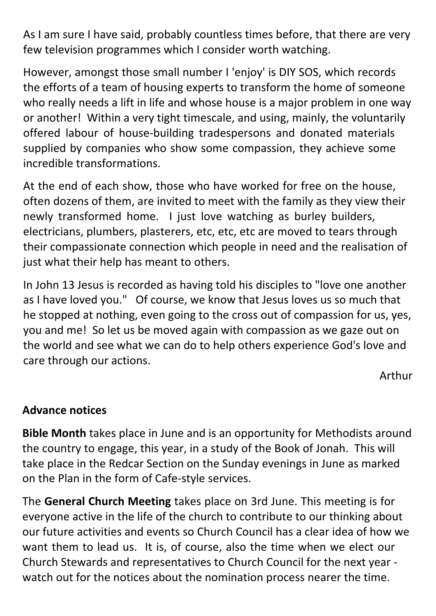As I am sure I have said, probably countless times before, that there are very few television programmes which I consider worth watching.

However, amongst those small number I 'enjoy' is DIY SOS, which records the efforts of a team of housing experts to transform the home of someone who really needs a lift in life and whose house is a major problem in one way or another! Within a very tight timescale, and using, mainly, the voluntarily offered labour of house-building tradespersons and donated materials supplied by companies who show some compassion, they achieve some incredible transformations.

At the end of each show, those who have worked for free on the house, often dozens of them, are invited to meet with the family as they view their newly transformed home. I just love watching as burley builders, electricians, plumbers, plasterers, etc, etc, etc are moved to tears through their compassionate connection which people in need and the realisation of just what their help has meant to others.

In John 13 Jesus is recorded as having told his disciples to "love one another as I have loved you." Of course, we know that Jesus loves us so much that he stopped at nothing, even going to the cross out of compassion for us, yes, you and me! So let us be moved again with compassion as we gaze out on the world and see what we can do to help others experience God's love and care through our actions.

Arthur

### **Advance notices**

**Bible Month** takes place in June and is an opportunity for Methodists around the country to engage, this year, in a study of the Book of Jonah. This will take place in the Redcar Section on the Sunday evenings in June as marked on the Plan in the form of Cafe-style services.

The **General Church Meeting** takes place on 3rd June. This meeting is for everyone active in the life of the church to contribute to our thinking about our future activities and events so Church Council has a clear idea of how we want them to lead us. It is, of course, also the time when we elect our Church Stewards and representatives to Church Council for the next year watch out for the notices about the nomination process nearer the time.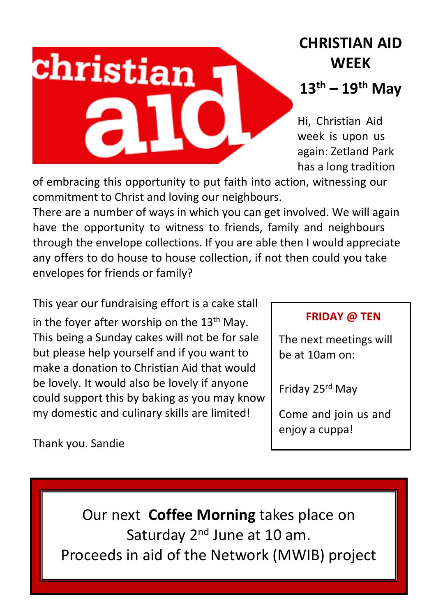# **CHRISTIAN AID WEEK**

## **13th – 19th May**

Hi, Christian Aid week is upon us again: Zetland Park has a long tradition

of embracing this opportunity to put faith into action, witnessing our commitment to Christ and loving our neighbours.

There are a number of ways in which you can get involved. We will again have the opportunity to witness to friends, family and neighbours through the envelope collections. If you are able then I would appreciate any offers to do house to house collection, if not then could you take envelopes for friends or family?

This year our fundraising effort is a cake stall in the fover after worship on the  $13<sup>th</sup>$  May. This being a Sunday cakes will not be for sale but please help yourself and if you want to make a donation to Christian Aid that would be lovely. It would also be lovely if anyone could support this by baking as you may know my domestic and culinary skills are limited!

christian

### **FRIDAY @ TEN**

The next meetings will be at 10am on:

Friday 25rd May

Come and join us and enjoy a cuppa!

Thank you. Sandie

Our next **Coffee Morning** takes place on Saturday 2<sup>nd</sup> June at 10 am. Proceeds in aid of the Network (MWIB) project